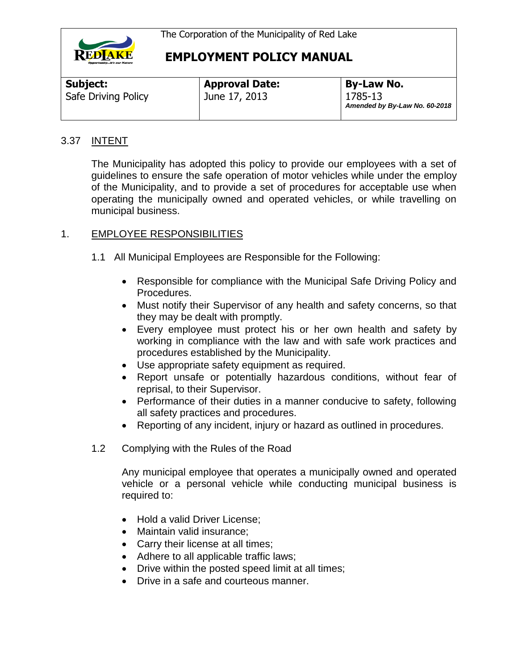

| <b>Subject:</b>     | <b>Approval Date:</b> | <b>By-Law No.</b>                        |
|---------------------|-----------------------|------------------------------------------|
| Safe Driving Policy | June 17, 2013         | 1785-13<br>Amended by By-Law No. 60-2018 |

#### 3.37 INTENT

The Municipality has adopted this policy to provide our employees with a set of guidelines to ensure the safe operation of motor vehicles while under the employ of the Municipality, and to provide a set of procedures for acceptable use when operating the municipally owned and operated vehicles, or while travelling on municipal business.

#### 1. EMPLOYEE RESPONSIBILITIES

- 1.1 All Municipal Employees are Responsible for the Following:
	- Responsible for compliance with the Municipal Safe Driving Policy and Procedures.
	- Must notify their Supervisor of any health and safety concerns, so that they may be dealt with promptly.
	- Every employee must protect his or her own health and safety by working in compliance with the law and with safe work practices and procedures established by the Municipality.
	- Use appropriate safety equipment as required.
	- Report unsafe or potentially hazardous conditions, without fear of reprisal, to their Supervisor.
	- Performance of their duties in a manner conducive to safety, following all safety practices and procedures.
	- Reporting of any incident, injury or hazard as outlined in procedures.
- 1.2 Complying with the Rules of the Road

Any municipal employee that operates a municipally owned and operated vehicle or a personal vehicle while conducting municipal business is required to:

- Hold a valid Driver License:
- Maintain valid insurance;
- Carry their license at all times;
- Adhere to all applicable traffic laws;
- Drive within the posted speed limit at all times;
- Drive in a safe and courteous manner.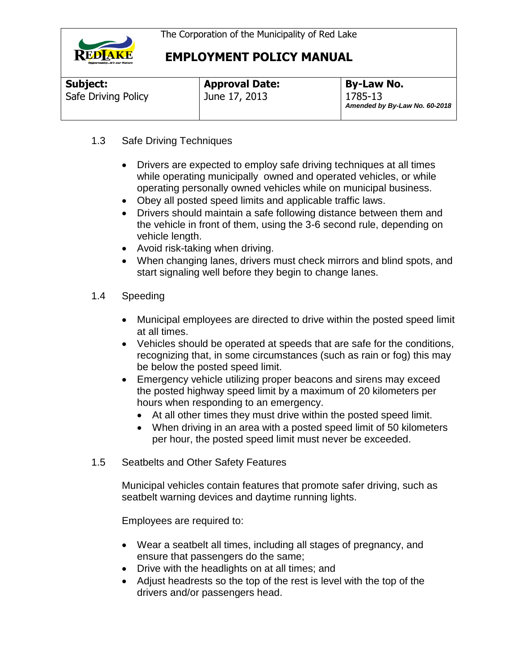

| Subject:            | <b>Approval Date:</b> | <b>By-Law No.</b>                        |
|---------------------|-----------------------|------------------------------------------|
| Safe Driving Policy | June 17, 2013         | 1785-13<br>Amended by By-Law No. 60-2018 |

#### 1.3 Safe Driving Techniques

- Drivers are expected to employ safe driving techniques at all times while operating municipally owned and operated vehicles, or while operating personally owned vehicles while on municipal business.
- Obey all posted speed limits and applicable traffic laws.
- Drivers should maintain a safe following distance between them and the vehicle in front of them, using the 3-6 second rule, depending on vehicle length.
- Avoid risk-taking when driving.
- When changing lanes, drivers must check mirrors and blind spots, and start signaling well before they begin to change lanes.
- 1.4 Speeding
	- Municipal employees are directed to drive within the posted speed limit at all times.
	- Vehicles should be operated at speeds that are safe for the conditions, recognizing that, in some circumstances (such as rain or fog) this may be below the posted speed limit.
	- Emergency vehicle utilizing proper beacons and sirens may exceed the posted highway speed limit by a maximum of 20 kilometers per hours when responding to an emergency.
		- At all other times they must drive within the posted speed limit.
		- When driving in an area with a posted speed limit of 50 kilometers per hour, the posted speed limit must never be exceeded.
- 1.5 Seatbelts and Other Safety Features

Municipal vehicles contain features that promote safer driving, such as seatbelt warning devices and daytime running lights.

Employees are required to:

- Wear a seatbelt all times, including all stages of pregnancy, and ensure that passengers do the same;
- Drive with the headlights on at all times; and
- Adjust headrests so the top of the rest is level with the top of the drivers and/or passengers head.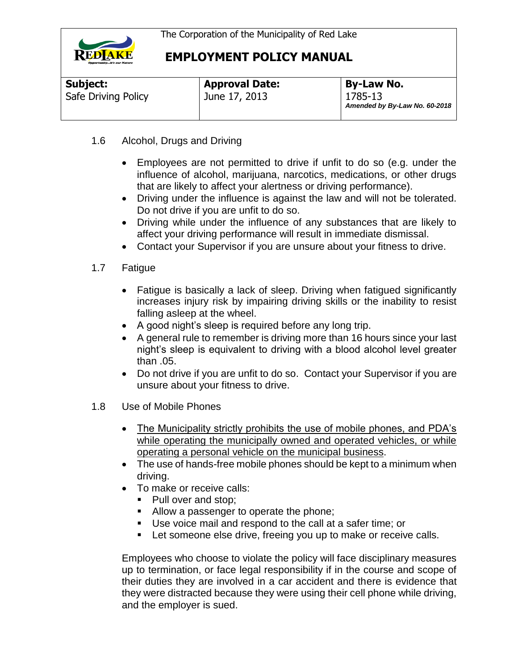

| Subject:            | <b>Approval Date:</b> | <b>By-Law No.</b>                        |
|---------------------|-----------------------|------------------------------------------|
| Safe Driving Policy | June 17, 2013         | 1785-13<br>Amended by By-Law No. 60-2018 |

- 1.6 Alcohol, Drugs and Driving
	- Employees are not permitted to drive if unfit to do so (e.g. under the influence of alcohol, marijuana, narcotics, medications, or other drugs that are likely to affect your alertness or driving performance).
	- Driving under the influence is against the law and will not be tolerated. Do not drive if you are unfit to do so.
	- Driving while under the influence of any substances that are likely to affect your driving performance will result in immediate dismissal.
	- Contact your Supervisor if you are unsure about your fitness to drive.
- 1.7 Fatigue
	- Fatigue is basically a lack of sleep. Driving when fatigued significantly increases injury risk by impairing driving skills or the inability to resist falling asleep at the wheel.
	- A good night's sleep is required before any long trip.
	- A general rule to remember is driving more than 16 hours since your last night's sleep is equivalent to driving with a blood alcohol level greater than .05.
	- Do not drive if you are unfit to do so. Contact your Supervisor if you are unsure about your fitness to drive.
- 1.8 Use of Mobile Phones
	- The Municipality strictly prohibits the use of mobile phones, and PDA's while operating the municipally owned and operated vehicles, or while operating a personal vehicle on the municipal business.
	- The use of hands-free mobile phones should be kept to a minimum when driving.
	- To make or receive calls:
		- Pull over and stop;
		- Allow a passenger to operate the phone;
		- Use voice mail and respond to the call at a safer time; or
		- **Let someone else drive, freeing you up to make or receive calls.**

Employees who choose to violate the policy will face disciplinary measures up to termination, or face legal responsibility if in the course and scope of their duties they are involved in a car accident and there is evidence that they were distracted because they were using their cell phone while driving, and the employer is sued.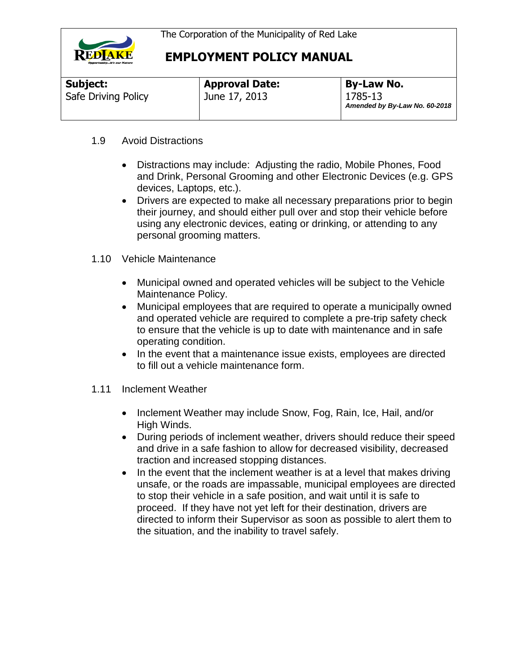

| Subject:            | <b>Approval Date:</b> | <b>By-Law No.</b>                        |
|---------------------|-----------------------|------------------------------------------|
| Safe Driving Policy | June 17, 2013         | 1785-13<br>Amended by By-Law No. 60-2018 |

#### 1.9 Avoid Distractions

- Distractions may include: Adjusting the radio, Mobile Phones, Food and Drink, Personal Grooming and other Electronic Devices (e.g. GPS devices, Laptops, etc.).
- Drivers are expected to make all necessary preparations prior to begin their journey, and should either pull over and stop their vehicle before using any electronic devices, eating or drinking, or attending to any personal grooming matters.
- 1.10 Vehicle Maintenance
	- Municipal owned and operated vehicles will be subject to the Vehicle Maintenance Policy.
	- Municipal employees that are required to operate a municipally owned and operated vehicle are required to complete a pre-trip safety check to ensure that the vehicle is up to date with maintenance and in safe operating condition.
	- In the event that a maintenance issue exists, employees are directed to fill out a vehicle maintenance form.
- 1.11 Inclement Weather
	- Inclement Weather may include Snow, Fog, Rain, Ice, Hail, and/or High Winds.
	- During periods of inclement weather, drivers should reduce their speed and drive in a safe fashion to allow for decreased visibility, decreased traction and increased stopping distances.
	- $\bullet$  In the event that the inclement weather is at a level that makes driving unsafe, or the roads are impassable, municipal employees are directed to stop their vehicle in a safe position, and wait until it is safe to proceed. If they have not yet left for their destination, drivers are directed to inform their Supervisor as soon as possible to alert them to the situation, and the inability to travel safely.